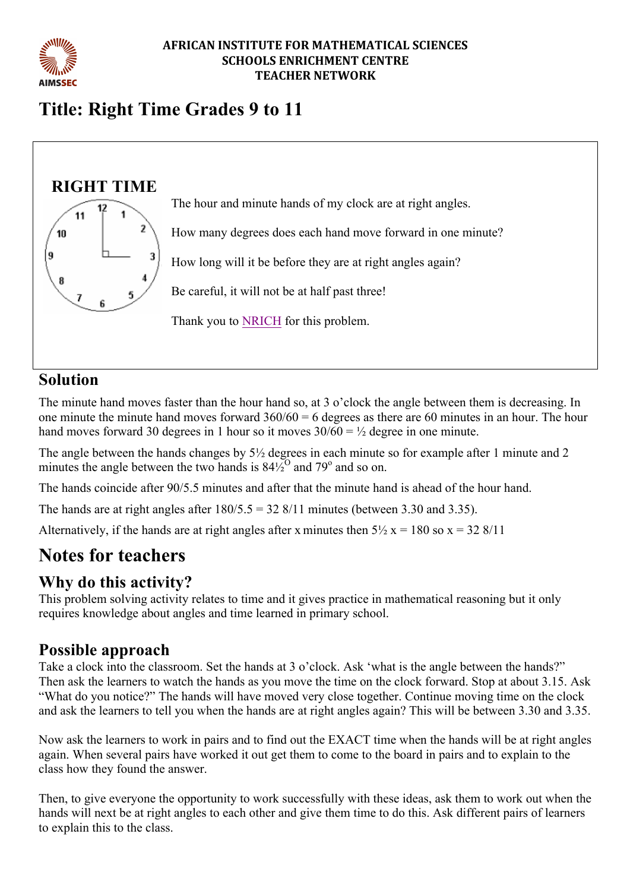

#### **AFRICAN INSTITUTE FOR MATHEMATICAL SCIENCES SCHOOLS ENRICHMENT CENTRE TEACHER NETWORK**

# **Title: Right Time Grades 9 to 11**



# **Solution**

The minute hand moves faster than the hour hand so, at 3 o'clock the angle between them is decreasing. In one minute the minute hand moves forward  $360/60 = 6$  degrees as there are 60 minutes in an hour. The hour hand moves forward 30 degrees in 1 hour so it moves  $30/60 = \frac{1}{2}$  degree in one minute.

The angle between the hands changes by 5½ degrees in each minute so for example after 1 minute and 2 minutes the angle between the two hands is  $84\frac{1}{2}^{\circ}$  and  $79^{\circ}$  and so on.

The hands coincide after 90/5.5 minutes and after that the minute hand is ahead of the hour hand.

The hands are at right angles after  $180/5.5 = 328/11$  minutes (between 3.30 and 3.35).

Alternatively, if the hands are at right angles after x minutes then  $5\frac{1}{2}$  x = 180 so x = 32 8/11

# **Notes for teachers**

# **Why do this activity?**

This problem solving activity relates to time and it gives practice in mathematical reasoning but it only requires knowledge about angles and time learned in primary school.

### **Possible approach**

Take a clock into the classroom. Set the hands at 3 o'clock. Ask 'what is the angle between the hands?" Then ask the learners to watch the hands as you move the time on the clock forward. Stop at about 3.15. Ask "What do you notice?" The hands will have moved very close together. Continue moving time on the clock and ask the learners to tell you when the hands are at right angles again? This will be between 3.30 and 3.35.

Now ask the learners to work in pairs and to find out the EXACT time when the hands will be at right angles again. When several pairs have worked it out get them to come to the board in pairs and to explain to the class how they found the answer.

Then, to give everyone the opportunity to work successfully with these ideas, ask them to work out when the hands will next be at right angles to each other and give them time to do this. Ask different pairs of learners to explain this to the class.